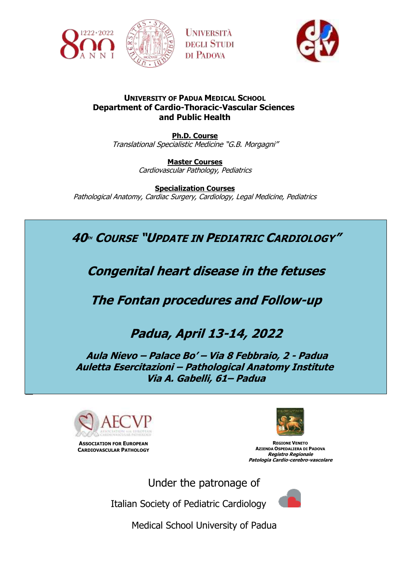



# **UNIVERSITY OF PADUA MEDICAL SCHOOL Department of Cardio-Thoracic-Vascular Sciences and Public Health**

**UNIVERSITÀ** 

**DEGLI STUDI** DI PADOVA

**Ph.D. Course** Translational Specialistic Medicine "G.B. Morgagni"

> **Master Courses** Cardiovascular Pathology, Pediatrics

**Specialization Courses** Pathological Anatomy, Cardiac Surgery, Cardiology, Legal Medicine, Pediatrics

**40TH COURSE "UPDATE IN PEDIATRIC CARDIOLOGY"**

**Congenital heart disease in the fetuses**

**The Fontan procedures and Follow-up**

# **Padua, April 13-14, 2022**

**Aula Nievo – Palace Bo' – Via 8 Febbraio, 2 - Padua Auletta Esercitazioni – Pathological Anatomy Institute Via A. Gabelli, 61– Padua**



**ASSOCIATION FOR EUROPEAN CARDIOVASCULAR PATHOLOGY**



**REGIONE VENETO AZIENDA OSPEDALIERA DI PADOVA Registro Regionale Patologia Cardio-cerebro-vascolare**

Under the patronage of

Italian Society of Pediatric Cardiology



Medical School University of Padua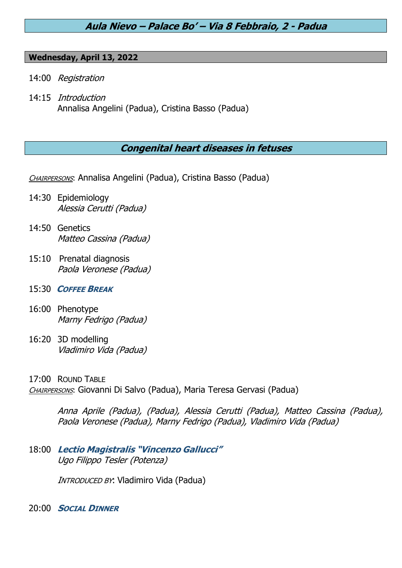# **Aula Nievo – Palace Bo' – Via 8 Febbraio, 2 - Padua**

#### **Wednesday, April 13, 2022**

- 14:00 Registration
- 14:15 Introduction Annalisa Angelini (Padua), Cristina Basso (Padua)

# **Congenital heart diseases in fetuses**

CHAIRPERSONS: Annalisa Angelini (Padua), Cristina Basso (Padua)

- 14:30 Epidemiology Alessia Cerutti (Padua)
- 14:50 Genetics Matteo Cassina (Padua)
- 15:10 Prenatal diagnosis Paola Veronese (Padua)
- 15:30 **COFFEE BREAK**
- 16:00 Phenotype Marny Fedrigo (Padua)
- 16:20 3D modelling Vladimiro Vida (Padua)

17:00 ROUND TABLE CHAIRPERSONS: Giovanni Di Salvo (Padua), Maria Teresa Gervasi (Padua)

> Anna Aprile (Padua), (Padua), Alessia Cerutti (Padua), Matteo Cassina (Padua), Paola Veronese (Padua), Marny Fedrigo (Padua), Vladimiro Vida (Padua)

18:00 **Lectio Magistralis "Vincenzo Gallucci"** Ugo Filippo Tesler (Potenza)

INTRODUCED BY: Vladimiro Vida (Padua)

20:00 **SOCIAL DINNER**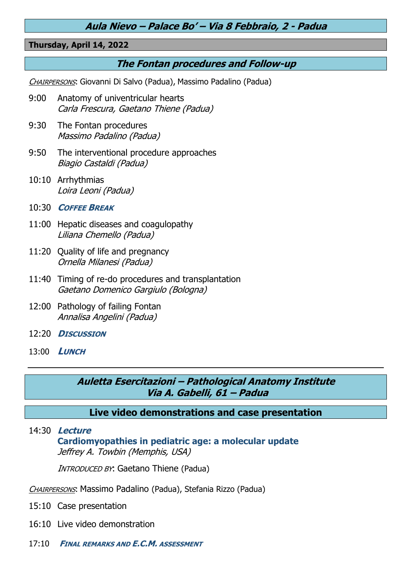# **Aula Nievo – Palace Bo' – Via 8 Febbraio, 2 - Padua**

## **Thursday, April 14, 2022**

# **The Fontan procedures and Follow-up**

CHAIRPERSONS: Giovanni Di Salvo (Padua), Massimo Padalino (Padua)

- 9:00 Anatomy of univentricular hearts Carla Frescura, Gaetano Thiene (Padua)
- 9:30 The Fontan procedures Massimo Padalino (Padua)
- 9:50 The interventional procedure approaches Biagio Castaldi (Padua)
- 10:10 Arrhythmias Loira Leoni (Padua)
- 10:30 **COFFEE BREAK**
- 11:00 Hepatic diseases and coagulopathy Liliana Chemello (Padua)
- 11:20 Quality of life and pregnancy Ornella Milanesi (Padua)
- 11:40 Timing of re-do procedures and transplantation Gaetano Domenico Gargiulo (Bologna)
- 12:00 Pathology of failing Fontan Annalisa Angelini (Padua)
- 12:20 **DISCUSSION**
- 13:00 **LUNCH**

**Auletta Esercitazioni – Pathological Anatomy Institute Via A. Gabelli, 61 – Padua**

**Live video demonstrations and case presentation**

# 14:30 **Lecture Cardiomyopathies in pediatric age: a molecular update** Jeffrey A. Towbin (Memphis, USA)

**INTRODUCED BY: Gaetano Thiene (Padua)** 

<sup>C</sup>HAIRPERSONS: Massimo Padalino (Padua), Stefania Rizzo (Padua)

- 15:10 Case presentation
- 16:10 Live video demonstration
- 17:10 **FINAL REMARKS AND E.C.M. ASSESSMENT**